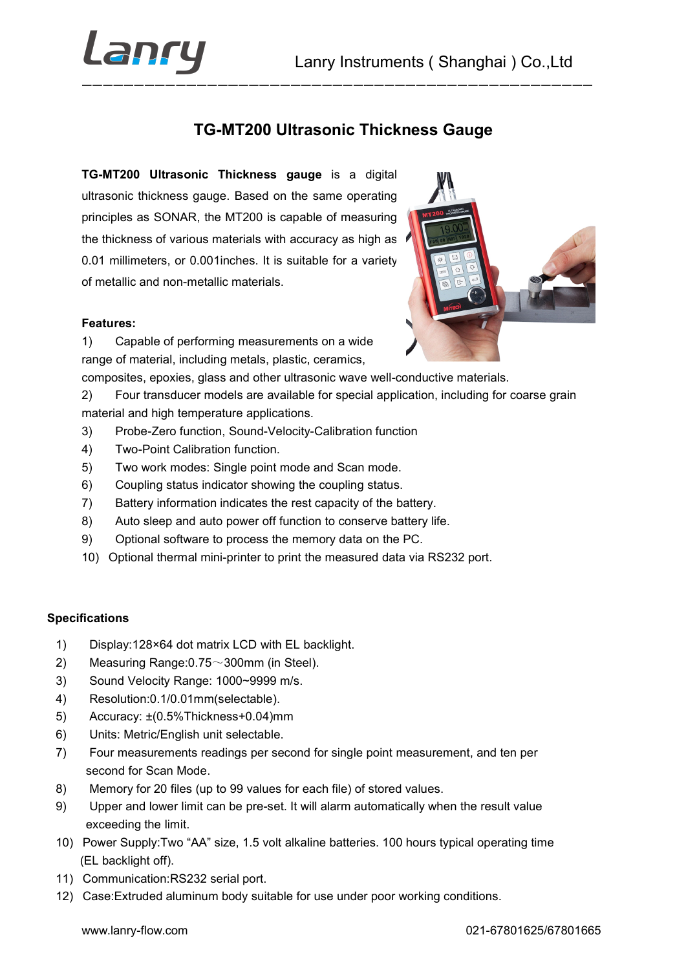

TG-MT200 Ultrasonic Thickness Gauge Lanry Instruments (Shanghai ) Co., Ltd<br>
TG-MT200 Ultrasonic Thickness Gauge<br>
TG-MT200 Ultrasonic Thickness gauge is a digital<br>
ultrasonic thickness gauge. Based on the same operating<br>
principles as SONAR, the MT200 is capa Lanry Instruments (Shanghai ) Co., Ltd<br>
TG-MT200 Ultrasonic Thickness Gauge<br>
TG-MT200 Ultrasonic Thickness Gauge<br>
TG-MT200 Ultrasonic Thickness gauge. Based on the same operating<br>
principles as SONAR, the MT200 is capable EXAMPLE CHAIRST CONTROLL CHAIRST CONTROLL CHAIRS CONTROLL TO UNITED THE MT200 URITASONIC Thickness Gauge<br>
TG-MT200 Ultrasonic Thickness gauge is a digital<br>
ultrasonic thickness gauge. Based on the same operating<br>
principle Lanny Instruments (Shanghai) Co., Ltd<br>
TG-MT200 Ultrasonic Thickness Gauge<br>
TG-MT200 Ultrasonic Thickness Gauge<br>
TG-MT200 Ultrasonic Thickness Gauge<br>
TG-MT200 Ultrasonic Thickness Gauge<br>
Intersection of the same operating<br> Cantry Lanry Instruments (Shanghai) Co., Ltd<br>
TG-MT200 Ultrasonic Thickness Gauge<br>
TG-MT200 Ultrasonic Thickness gauge is a digital<br>
ultrasonic thickness gauge. Based on the same operating<br>
principles as SONAR, the MT200 i CONTROV Lanny Instruments (Shanghai) Co., Ltd<br>
TG-MT200 Ultrasonic Thickness Gauge<br>
TG-MT200 Ultrasonic Thickness Gauge<br>
TG-MT200 Ultrasonic Thickness Gauge<br>
ITG-MT200 Ultrasonic Thickness Gauge<br>
ITG-MT200 Ultrasonic Thick TG-MT200 Ultrasonic Thickness Gauge<br>
TG-MT200 Ultrasonic Thickness Gauge<br>
TG-MT200 Ultrasonic Thickness Gauge<br>
TG-MT200 Ultrasonic Thickness Gauge<br>
Italianoic thickness dauge. Based on the same operating<br>
the thickness of Lanry Instruments (Shanghai ) Co.,Ltd<br>
TG-MT200 Ultrasonic Thickness Gauge<br>
TG-MT200 Ultrasonic Thickness Gauge<br>
TG-MT200 Ultrasonic Thickness Gauge<br>
TG-MT200 Ultrasonic Thickness Gauge<br>
Minimization: the MT200 is capable TG-MT200 Ultrasonic Thickness Gauge<br>
TG-MT200 Ultrasonic Thickness gauge is a digital<br>
ultrasonic thickness gauge. Eased on the same operating<br>
principles as SONAR, the MT200 is capable of measuring<br>
the thickness of vario TG-MT200 Ultrasonic Thickness Gauge<br>
TG-MT200 Ultrasonic Thickness gauge is a digital<br>
ultrasonic trickness gauge. Based on the same operating<br>
the thickness solvaR; the MT200 is capable of measuring<br>
the thickness of vari TG-MT200 Ultrasonic Thickness Gauge<br>
TG-MT200 Ultrasonic Thickness gauge is a digital<br>
ultrasonic thickness gauge. Based on the same operating<br>
principles as SONAR, the MT200 is capable of measuring<br>
the thickness of vario 19-W1200 Ultrasonic Trickhress gauge<br>
19-W1200 Ultrasonic Trickhress gauge is a digital<br>
ultrasonic thickness gauge. Based on the same operating<br>
principles as SONAR, the MT200 is capable of measuring<br>
the thickness of var TG-MT200 Ultrasonic Thickness gauge is a digital<br>ultrasonic thickness gauge. Based on the same operating<br>principles as SONAR, the MT200 is capable of measuring<br>the thickness of various materials with accuracy as high as<br>th TG-MT200 Ultrasonic Thickness gauge is a digital<br>ultrasonic thickness gauge. Based on the same operating<br>the thickness of various materials with accuracy as high as<br>the thickness of various materials with accuracy as high



## Features:

1) Captator or protonning interaction or an anti-<br>
range of material, including metals, plastic, ceramics,<br>
composites, epoxies, glass and other ultrasonic wave well-conductive materials.<br>
2) Fortur transducter models are inguo Triniculari, inducing inclusion, encourses, engalises, engalises and other utilisashic wave well-conductive materials.<br>
2) Four transducer models are available for special application, including for coarse grain<br>
mat sompourco, epoxicol, giao and orientationen and considered in and the measurement<br>
2) Four transducer models are available for special application, including for coarse grain<br>
material and high temperature applications.<br>
3

- 
- 
- 
- 
- 
- 
- 
- 

## Specifications

- 
- 
- 
- 
- 
- 
- 2)<br>
and and high temperature applications.<br>
and and high temperature applications.<br>
3) Probe-Zero function, Sound-Velocity-Calibration function<br>
4) Two-Point Calibration function.<br>
5) Two work modes: Single point mode and macus and my temperature approacuse.<br>
3) Probe-Zero function, Sound-Velocity-Calibration function<br>
4) Two-Point Calibration function.<br>
5) Two work modes: Single point mode and Scan mode.<br>
6) Coupling status.<br>
7) Battery in 4) Two-Point Calibration function.<br>
4) Two-Point Calibration function.<br>
6) Two work modes: Single point mode and Scan mode.<br>
6) Coupling status indicator showing the coupling status.<br>
7) Battery information indicates the r 7) Four varist conduction transformation in mode and Scan mode.<br>
5) Two work modes: Single point mode and Scan mode.<br>
7) Battery information indicates the rest capacity of the battery.<br>
8) Auto sleep and auto power off fun or we want model. Complete pair winding the cupling status.<br>
(b) Coupling status indicator showing the coupling status.<br>
(b) Battery information indicates the rest capacity of the battery.<br>
(b) Auto sleep and auto power o 9) Coupling sucus included to endepthe of the battery.<br>
8) Auto sleep and auto power off function to conserve battery life.<br>
8) Optional software to process the memory data on the PC.<br>
10) Optional thermal mini-printer to 1.6) Optional distinuar mani-pinner, to print the included odda via include point.<br>
Fications<br>
Display:128×64 dot matrix LCD with EL backlight.<br>
Measuring Range:0.75~300mm (in Steel).<br>
Sound Velocity Range: 1000~9999 m/s.<br>
- 
- 
- Display:128×64 dot matrix LCD with EL backlight.<br>
Measuring Range:0.75~300mm (in Steel).<br>
Sound Velocity Range: 1000-9999 m/s.<br>
Resolution:0.1/0.01mm(selectable).<br>
Accuracy: +(0.5%Thickness+0.04)mm<br>
Units: Metric/English u 9) Upper and lower off function to conserve battery life.<br>
9) Auto sleep and auto power off function to conserve battery life.<br>
9) Optional software to process the memory data on the PC.<br>
10) Optional thermal mini-printer (a)<br>
(b) Optional software to process the memory data on the PC.<br>
(b) Optional software to process the memory data on the PC.<br>
(cations<br>
Display:128×64 dot matrix LCD with EL backlight.<br>
Measuring Range:0.75~300mm (in Ste 10) Optional thermal mini-printer to print the measured data via RS232 port.<br>
10) Optional thermal mini-printer to print the measured data via RS232 port.<br>
11) Display:128×64 dot matrix LCD with EL backlight.<br>
2) Measuring pecifications<br>
1) Display:128×64 dot matrix LCD with EL backlight.<br>
2) Measuring Range:0.75~300mm (in Steel).<br>
3) Sound Velocity Range: 1000-9999 m/s.<br>
4) Resolution:0.1/0.01mm(selectable).<br>
5) Accuracy: ±(0.5%Thickness+0. pecifications<br>
1) Display:128×64 dot matrix LCD with EL backlight.<br>
2) Measuring Range:0.75~300mm (in Steel).<br>
4) Resolution:0.10.010mm(selectable).<br>
5) Carcuracy:  $\pm 0.5\%$ Trickness+0.04mm<br>
5) Units: Metric/English unit
- 
-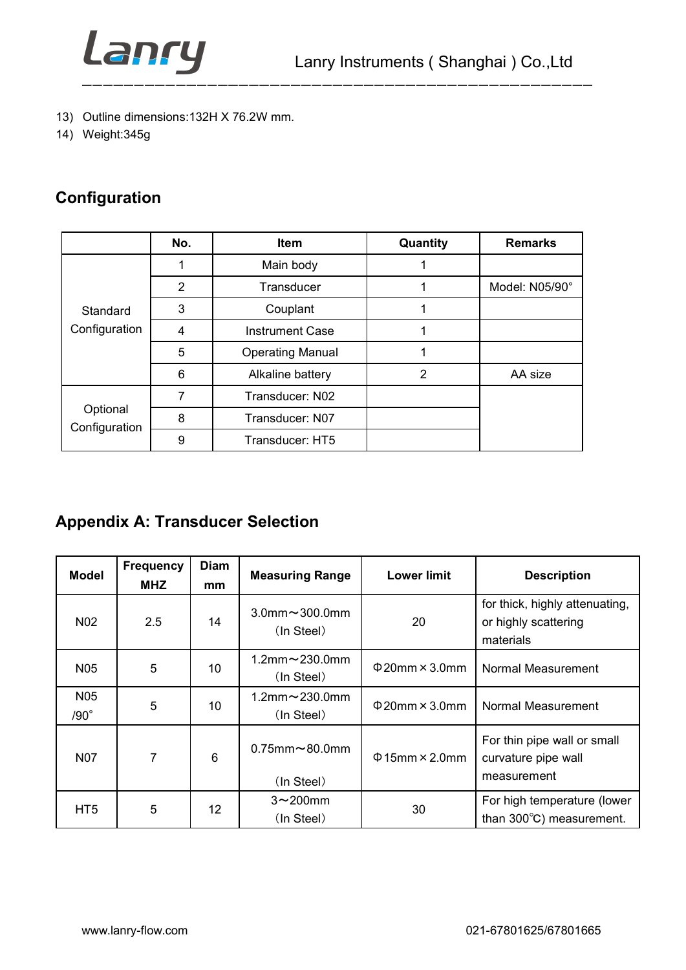

- 
- 

# Configuration

|                                                                                      | Lanry          |                         |                | Lanry Instruments (Shanghai) Co., Ltd |
|--------------------------------------------------------------------------------------|----------------|-------------------------|----------------|---------------------------------------|
| 13) Outline dimensions: 132H X 76.2W mm.<br>14) Weight: 345g<br><b>Configuration</b> |                |                         |                |                                       |
|                                                                                      | No.            | Item                    | Quantity       | <b>Remarks</b>                        |
|                                                                                      | $\mathbf 1$    | Main body               | $\mathbf 1$    |                                       |
|                                                                                      | $\overline{2}$ | Transducer              | $\mathbf 1$    | Model: N05/90°                        |
| Standard                                                                             | 3              | Couplant                | $\mathbf 1$    |                                       |
| Configuration                                                                        | 4              | <b>Instrument Case</b>  | $\mathbf{1}$   |                                       |
|                                                                                      | 5              | <b>Operating Manual</b> | $\mathbf 1$    |                                       |
|                                                                                      | 6              | Alkaline battery        | $\overline{2}$ | AA size                               |
|                                                                                      | $\overline{7}$ | Transducer: N02         |                |                                       |
| Optional                                                                             | 8              | Transducer: N07         |                |                                       |
| Configuration                                                                        | 9              | Transducer: HT5         |                |                                       |

| Standard                       | $\mathfrak{S}$                 |             | Couplant                                                          | $\mathbf 1$                |                                                                     |
|--------------------------------|--------------------------------|-------------|-------------------------------------------------------------------|----------------------------|---------------------------------------------------------------------|
| Configuration                  | $\overline{4}$                 |             | <b>Instrument Case</b>                                            | $\mathbf 1$                |                                                                     |
|                                | $\overline{5}$                 |             | <b>Operating Manual</b>                                           | $\mathbf 1$                |                                                                     |
|                                | $\,6$                          |             | Alkaline battery                                                  | $\overline{2}$             | AA size                                                             |
|                                | $\overline{7}$                 |             | Transducer: N02                                                   |                            |                                                                     |
| Optional                       | $\bf 8$                        |             | Transducer: N07                                                   |                            |                                                                     |
| Configuration                  | $\boldsymbol{9}$               |             | Transducer: HT5                                                   |                            |                                                                     |
| <b>Model</b>                   | <b>Frequency</b><br><b>MHZ</b> | <b>Diam</b> | <b>Appendix A: Transducer Selection</b><br><b>Measuring Range</b> | <b>Lower limit</b>         | <b>Description</b>                                                  |
| N <sub>02</sub>                | 2.5                            | mm<br>14    | $3.0$ mm $\sim$ 300.0mm<br>(In Steel)                             | 20                         | for thick, highly attenuating,<br>or highly scattering<br>materials |
| N <sub>05</sub>                | 5                              | 10          | 1.2mm~230.0mm<br>(In Steel)                                       | $\Phi$ 20mm × 3.0mm        | Normal Measurement                                                  |
| N <sub>05</sub><br>$/90^\circ$ | 5                              | 10          | 1.2mm~230.0mm<br>(In Steel)                                       | $\Phi$ 20mm $\times$ 3.0mm | Normal Measurement                                                  |
| <b>N07</b>                     | $\overline{7}$                 | $\,6\,$     | $0.75$ mm $\sim$ 80.0mm<br>(In Steel)                             | $\Phi$ 15mm × 2.0mm        | For thin pipe wall or small<br>curvature pipe wall<br>measurement   |
| HT <sub>5</sub>                | 5                              | 12          | $3 \sim 200$ mm<br>(In Steel)                                     | $30\,$                     | For high temperature (lower<br>than 300°C) measurement.             |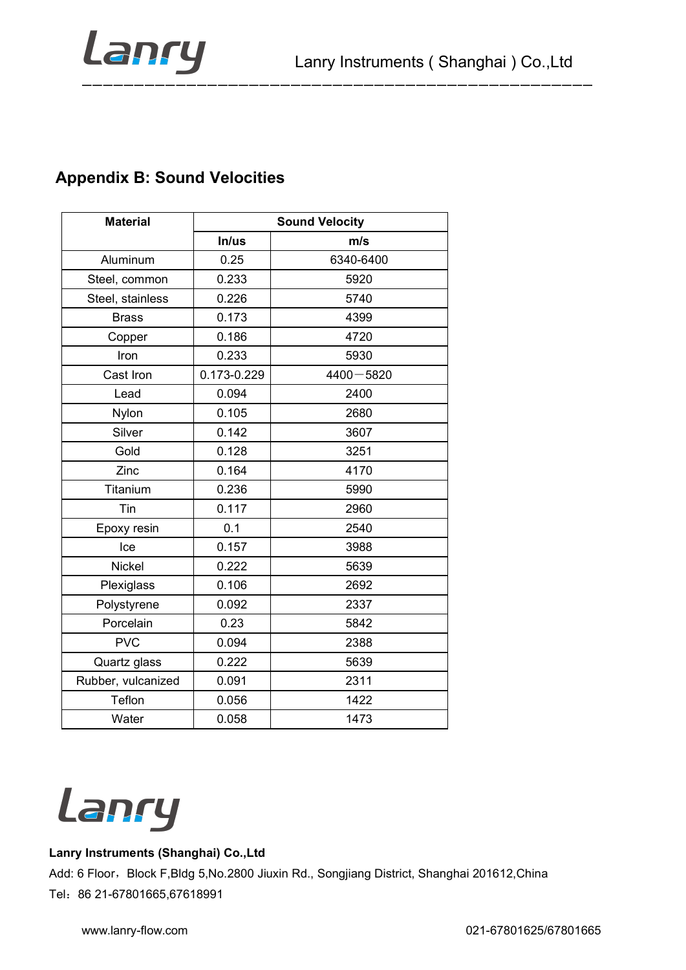

| <b>Appendix B: Sound Velocities</b> |                       |               |  |  |
|-------------------------------------|-----------------------|---------------|--|--|
| <b>Material</b>                     | <b>Sound Velocity</b> |               |  |  |
|                                     | In/us                 | m/s           |  |  |
| Aluminum                            | 0.25                  | 6340-6400     |  |  |
| Steel, common                       | 0.233                 | 5920          |  |  |
| Steel, stainless                    | 0.226                 | 5740          |  |  |
| <b>Brass</b>                        | 0.173                 | 4399          |  |  |
| Copper                              | 0.186                 | 4720          |  |  |
| Iron                                | 0.233                 | 5930          |  |  |
| Cast Iron                           | 0.173-0.229           | $4400 - 5820$ |  |  |
| Lead                                | 0.094                 | 2400          |  |  |
| <b>Nylon</b>                        | 0.105                 | 2680          |  |  |
| Silver                              | 0.142                 | 3607          |  |  |
| Gold                                | 0.128                 | 3251          |  |  |
| Zinc                                | 0.164                 | 4170          |  |  |
| Titanium                            | 0.236                 | 5990          |  |  |
| Tin                                 | 0.117                 | 2960          |  |  |
| Epoxy resin                         | 0.1                   | 2540          |  |  |
| Ice<br>Nickel                       | 0.157<br>0.222        | 3988<br>5639  |  |  |
| Plexiglass                          | 0.106                 | 2692          |  |  |
| Polystyrene                         | 0.092                 | 2337          |  |  |
| Porcelain                           | 0.23                  | 5842          |  |  |
| <b>PVC</b>                          | 0.094                 | 2388          |  |  |
| Quartz glass                        | 0.222                 | 5639          |  |  |
| Rubber, vulcanized                  | 0.091                 | 2311          |  |  |
| Teflon                              | 0.056                 | 1422          |  |  |
| Water                               | 0.058                 | 1473          |  |  |